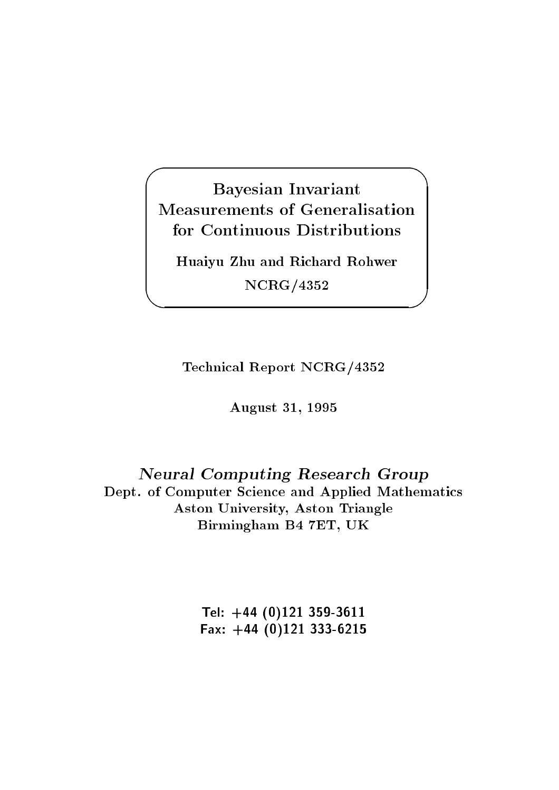## $\sqrt{2\pi}$ Bayesian Invariant Measurements of Generalisation for Continuous Distributions

Huaiyu Zhu and Richard Rohwer NCRG/4352

*<u>A</u>* 

Technical Report NCRG/4352

August 31, 1995

## Neural Computing Research Group Dept. of Computer Science and Applied Mathematics Aston University, Aston Triangle Birmingham B4 7ET, UK

Tel: +44 (0)121 359-3611 Fax: +44 (0)121 333-6215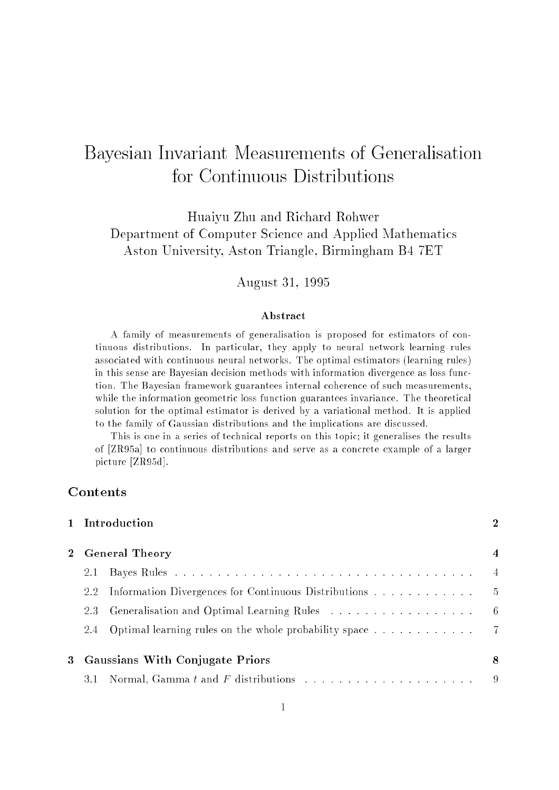# Bayesian Invariant Measurements of Generalisation for Continuous Distributions

Huaiyu Zhu and Richard Rohwer Department of Computer Science and Applied Mathematics Aston University, Aston Triangle, Birmingham B4 7ET

August 31, 1995

#### Abstract

A family of measurements of generalisation is proposed for estimators of continuous distributions. In particular, they apply to neural network learning rules associated with continuous neural networks. The optimal estimators (learning rules) in this sense are Bayesian decision methods with information divergence as loss function. The Bayesian framework guarantees internal coherence of such measurements, while the information geometric loss function guarantees invariance. The theoretical solution for the optimal estimator is derived by a variational method. It is applied to the family of Gaussian distributions and the implications are discussed.

This is one in a series of technical reports on this topic; it generalises the results of [ZR95a] to continuous distributions and serve as a concrete example of a larger picture [ZR95d].

## Contents

|             |                                   | 1 Introduction                                              | $\overline{2}$ |
|-------------|-----------------------------------|-------------------------------------------------------------|----------------|
| $2^{\circ}$ | <b>General Theory</b>             |                                                             | $\overline{4}$ |
|             | 2.1                               |                                                             | $\overline{4}$ |
|             |                                   | 2.2 Information Divergences for Continuous Distributions    | $-5$           |
|             | 2.3                               |                                                             | $-6$           |
|             |                                   | 2.4 Optimal learning rules on the whole probability space 7 |                |
|             | 3 Gaussians With Conjugate Priors |                                                             | -8             |
|             |                                   |                                                             | - 9            |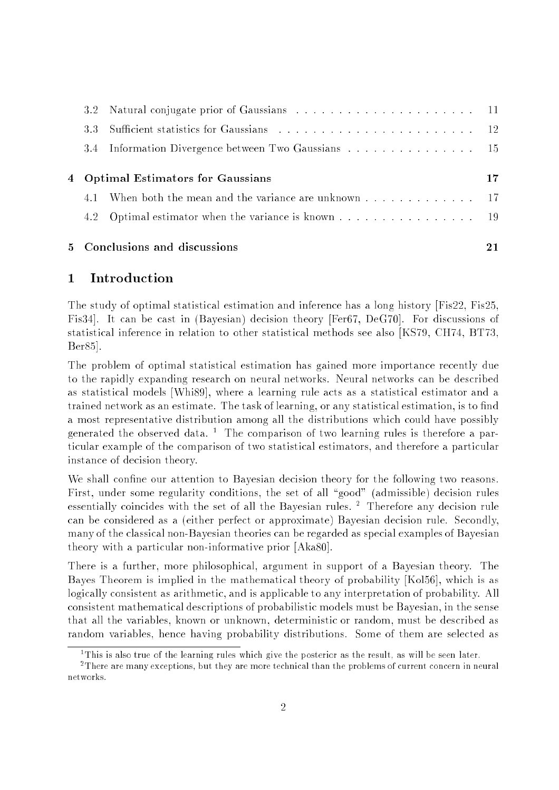|                                    | 5 Conclusions and discussions                          | 21 |
|------------------------------------|--------------------------------------------------------|----|
|                                    |                                                        |    |
|                                    | 4.1 When both the mean and the variance are unknown 17 |    |
| 4 Optimal Estimators for Gaussians |                                                        |    |
|                                    | 3.4 Information Divergence between Two Gaussians 15    |    |
|                                    |                                                        |    |
|                                    |                                                        |    |

## 1 Introduction

The study of optimal statistical estimation and inference has a long history [Fis22, Fis25, Fis34]. It can be cast in (Bayesian) decision theory [Fer67, DeG70]. For discussions of statistical inference in relation to other statistical methods see also [KS79, CH74, BT73, Ber85].

The problem of optimal statistical estimation has gained more importance recently due to the rapidly expanding research on neural networks. Neural networks can be described as statistical models [Whi89], where a learning rule acts as a statistical estimator and a trained network as an estimate. The task of learning, or any statistical estimation, is to find a most representative distribution among all the distributions which could have possibly generated the observed data. The comparison of two learning rules is therefore a particular example of the comparison of two statistical estimators, and therefore a particular instance of decision theory.

We shall confine our attention to Bayesian decision theory for the following two reasons. First, under some regularity conditions, the set of all "good" (admissible) decision rules essentially coincides with the set of all the Bayesian rules. Therefore any decision rule can be considered as a (either perfect or approximate) Bayesian decision rule. Secondly, many of the classical non-Bayesian theories can be regarded as special examples of Bayesian theory with a particular non-informative prior [Aka80].

There is a further, more philosophical, argument in support of a Bayesian theory. The Bayes Theorem is implied in the mathematical theory of probability [Kol56], which is as logically consistent as arithmetic, and is applicable to any interpretation of probability. All consistent mathematical descriptions of probabilistic models must be Bayesian, in the sense that all the variables, known or unknown, deterministic or random, must be described as random variables, hence having probability distributions. Some of them are selected as

<sup>1</sup> This is also true of the learning rules which give the posterior as the result, as will be seen later.

<sup>2</sup> There are many exceptions, but they are more technical than the problems of current concern in neural networks.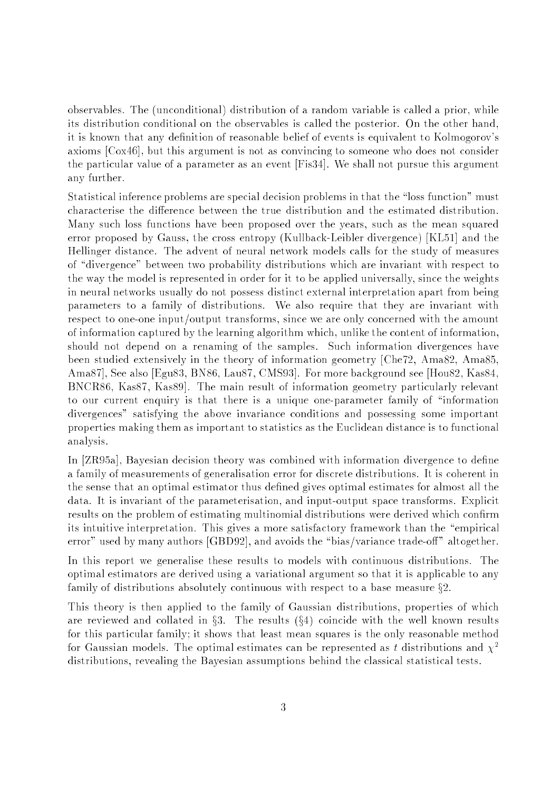observables. The (unconditional) distribution of a random variable is called a prior, while its distribution conditional on the observables is called the posterior. On the other hand, it is known that any definition of reasonable belief of events is equivalent to Kolmogorov's axioms [Cox46], but this argument is not as convincing to someone who does not consider the particular value of a parameter as an event [Fis34]. We shall not pursue this argument any further.

Statistical inference problems are special decision problems in that the "loss function" must characterise the difference between the true distribution and the estimated distribution. Many such loss functions have been proposed over the years, such as the mean squared error proposed by Gauss, the cross entropy (Kullback-Leibler divergence) [KL51] and the Hellinger distance. The advent of neural network models calls for the study of measures of "divergence" between two probability distributions which are invariant with respect to the way the model is represented in order for it to be applied universally, since the weights in neural networks usually do not possess distinct external interpretation apart from being parameters to a family of distributions. We also require that they are invariant with respect to one-one input/output transforms, since we are only concerned with the amount of information captured by the learning algorithm which, unlike the content of information, should not depend on a renaming of the samples. Such information divergences have been studied extensively in the theory of information geometry [Che72, Ama82, Ama85, Ama87], See also [Egu83, BN86, Lau87, CMS93]. For more background see [Hou82, Kas84, BNCR86, Kas87, Kas89]. The main result of information geometry particularly relevant to our current enquiry is that there is a unique one-parameter family of \information divergences" satisfying the above invariance conditions and possessing some important properties making them as important to statistics as the Euclidean distance is to functional analysis.

In [ZR95a], Bayesian decision theory was combined with information divergence to define a family of measurements of generalisation error for discrete distributions. It is coherent in the sense that an optimal estimator thus dened gives optimal estimates for almost all the data. It is invariant of the parameterisation, and input-output space transforms. Explicit results on the problem of estimating multinomial distributions were derived which confirm its intuitive interpretation. This gives a more satisfactory framework than the "empirical error" used by many authors [GBD92], and avoids the "bias/variance trade-off" altogether.

In this report we generalise these results to models with continuous distributions. The optimal estimators are derived using a variational argument so that it is applicable to any family of distributions absolutely continuous with respect to a base measure  $\S2$ .

This theory is then applied to the family of Gaussian distributions, properties of which are reviewed and collated in  $\S3$ . The results  $(\S4)$  coincide with the well known results for this particular family; it shows that least mean squares is the only reasonable method for Gaussian models. The optimal estimates can be represented as t distributions and  $\chi^2$ distributions, revealing the Bayesian assumptions behind the classical statistical tests.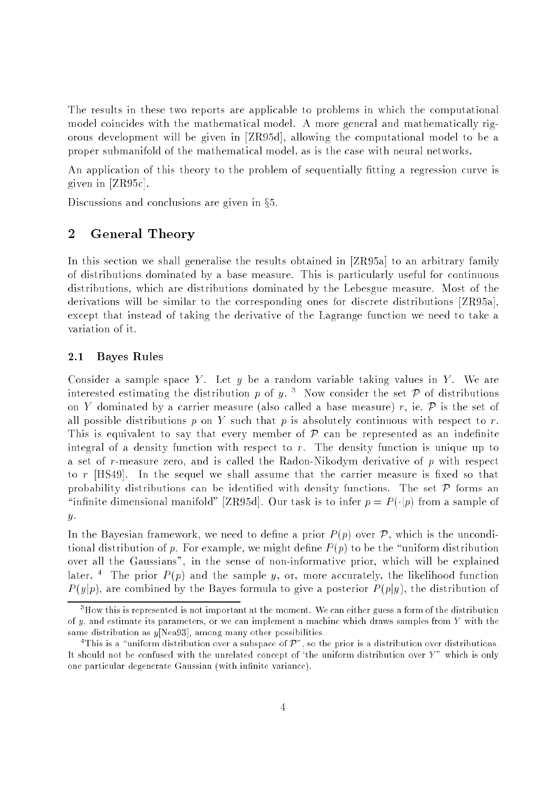The results in these two reports are applicable to problems in which the computational model coincides with the mathematical model. A more general and mathematically rigorous development will be given in [ZR95d], allowing the computational model to be a proper submanifold of the mathematical model, as is the case with neural networks.

An application of this theory to the problem of sequentially fitting a regression curve is given in [ZR95c].

Discussions and conclusions are given in  $\S5$ .

#### $\overline{2}$ **General Theory**

In this section we shall generalise the results obtained in [ZR95a] to an arbitrary family of distributions dominated by a base measure. This is particularly useful for continuous distributions, which are distributions dominated by the Lebesgue measure. Most of the derivations will be similar to the corresponding ones for discrete distributions [ZR95a], except that instead of taking the derivative of the Lagrange function we need to take a variation of it.

#### 2.1 Bayes Rules

Consider a sample space Y. Let  $y$  be a random variable taking values in Y. We are interested estimating the distribution  $p$  of  $q$ . Thow consider the set  $P$  of distributions on Y dominated by a carrier measure (also called a base measure) r, ie.  $\mathcal P$  is the set of all possible distributions  $p$  on  $Y$  such that  $p$  is absolutely continuous with respect to  $r$ . This is equivalent to say that every member of  $P$  can be represented as an indefinite integral of a density function with respect to r. The density function is unique up to a set of r-measure zero, and is called the Radon-Nikodym derivative of <sup>p</sup> with respect to  $r$  [HS49]. In the sequel we shall assume that the carrier measure is fixed so that probability distributions can be identified with density functions. The set  $\mathcal P$  forms an "infinite dimensional manifold" [ZR95d]. Our task is to infer  $p = P(\cdot|p)$  from a sample of  $y$ .

In the Bayesian framework, we need to define a prior  $P(p)$  over  $P$ , which is the unconditional distribution of p. For example, we might define  $P(p)$  to be the "uniform distribution over all the Gaussians", in the sense of non-informative prior, which will be explained later. The prior  $P(p)$  and the sample  $y$ , or, more accurately, the likelihood function  $P(y|p)$ , are combined by the Bayes formula to give a posterior  $P(p|y)$ , the distribution of

<sup>3</sup>How this is represented is not important at the moment. We can either guess a form of the distribution of y, and estimate its parameters, or we can implement a machine which draws samples from  $Y$  with the same distribution as y[Nea93], among many other possibilities.

This is a uniform distribution over a subspace of  $P^+$ , so the prior is a distribution over distributions. It should not be confused with the unrelated concept of 'the uniform distribution over  $Y$ " which is only one particular degenerate Gaussian (with infinite variance).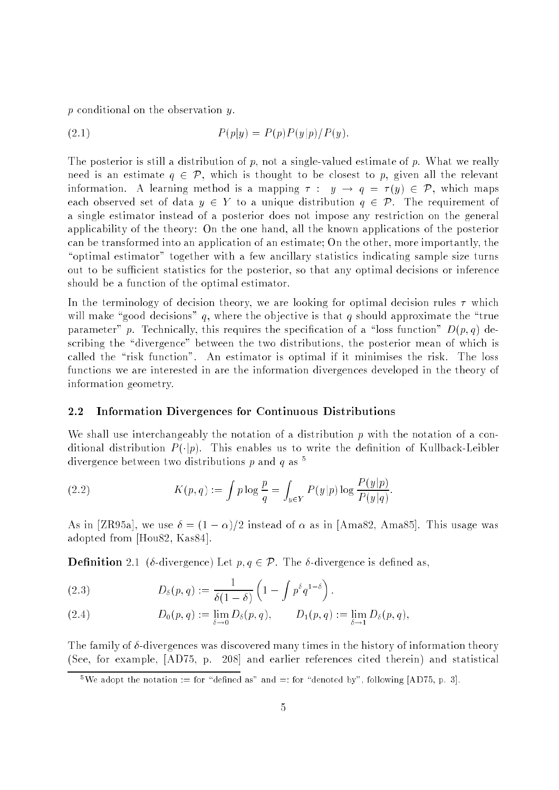<sup>p</sup> conditional on the observation y.

(2.1) 
$$
P(p|y) = P(p)P(y|p)/P(y).
$$

The posterior is still a distribution of  $p$ , not a single-valued estimate of  $p$ . What we really need is an estimate  $q \in \mathcal{P}$ , which is thought to be closest to p, given all the relevant information. A learning method is a mapping  $\tau : y \to q = \tau(y) \in \mathcal{P}$ , which maps each observed set of data  $y \in Y$  to a unique distribution  $q \in \mathcal{P}$ . The requirement of a single estimator instead of a posterior does not impose any restriction on the general applicability of the theory: On the one hand, all the known applications of the posterior can be transformed into an application of an estimate; On the other, more importantly, the "optimal estimator" together with a few ancillary statistics indicating sample size turns out to be sufficient statistics for the posterior, so that any optimal decisions or inference should be a function of the optimal estimator.

In the terminology of decision theory, we are looking for optimal decision rules  $\tau$  which will make "good decisions" q, where the objective is that q should approximate the "true parameter" p. Technically, this requires the specification of a "loss function"  $D(p, q)$  describing the "divergence" between the two distributions, the posterior mean of which is called the "risk function". An estimator is optimal if it minimises the risk. The loss functions we are interested in are the information divergences developed in the theory of information geometry.

#### 2.2 Information Divergences for Continuous Distributions

We shall use interchangeably the notation of a distribution  $p$  with the notation of a conditional distribution  $P(\cdot|p)$ . This enables us to write the definition of Kullback-Leibler divergence between two distributions p and q as  $^5$ 

(2.2) 
$$
K(p,q) := \int p \log \frac{p}{q} = \int_{y \in Y} P(y|p) \log \frac{P(y|p)}{P(y|q)}.
$$

As in [ZR95a], we use  $\delta = (1 - \alpha)/2$  instead of  $\alpha$  as in [Ama82, Ama85]. This usage was adopted from [Hou82, Kas84].

**Definition** 2.1 ( $\delta$ -divergence) Let  $p, q \in \mathcal{P}$ . The  $\delta$ -divergence is defined as,

(2.3) 
$$
D_{\delta}(p,q) := \frac{1}{\delta(1-\delta)} \left(1 - \int p^{\delta} q^{1-\delta}\right).
$$

(2.4) 
$$
D_0(p,q) := \lim_{\delta \to 0} D_\delta(p,q), \qquad D_1(p,q) := \lim_{\delta \to 1} D_\delta(p,q),
$$

The family of  $\delta$ -divergences was discovered many times in the history of information theory (See, for example, [AD75, p. 208] and earlier references cited therein) and statistical

<sup>&</sup>lt;sup>5</sup>We adopt the notation := for "defined as" and =: for "denoted by", following [AD75, p. 3].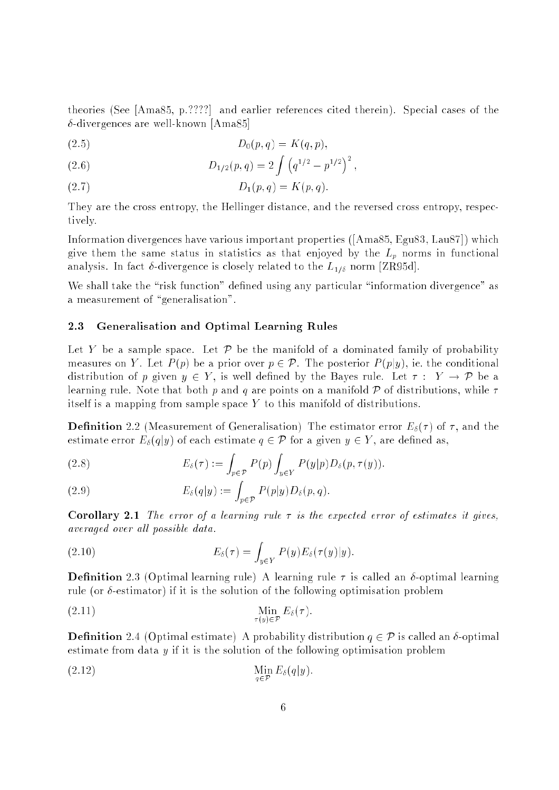theories (See [Ama85, p.????] and earlier references cited therein). Special cases of the  $\delta$ -divergences are well-known [Ama85]

(2.5) 
$$
D_0(p,q) = K(q,p),
$$

(2.6) 
$$
D_{1/2}(p,q) = 2 \int \left( q^{1/2} - p^{1/2} \right)^2,
$$

(2.7) 
$$
D_1(p,q) = K(p,q).
$$

They are the cross entropy, the Hellinger distance, and the reversed cross entropy, respectively.

Information divergences have various important properties ([Ama85, Egu83, Lau87]) which give them the same status in statistics as that enjoyed by the  $L_p$  norms in functional analysis. In fact  $\delta$ -divergence is closely related to the  $L_{1/\delta}$  norm [ZR95d].

We shall take the "risk function" defined using any particular "information divergence" as a measurement of "generalisation".

#### 2.3 Generalisation and Optimal Learning Rules

Let Y be a sample space. Let  $\mathcal P$  be the manifold of a dominated family of probability measures on Y. Let  $P(p)$  be a prior over  $p \in \mathcal{P}$ . The posterior  $P(p|y)$ , ie. the conditional distribution of p given  $y \in Y$ , is well defined by the Bayes rule. Let  $\tau : Y \to \mathcal{P}$  be a learning rule. Note that both p and q are points on a manifold P of distributions, while  $\tau$ itself is a mapping from sample space  $Y$  to this manifold of distributions.

**Definition** 2.2 (Measurement of Generalisation) The estimator error  $E_{\delta}(\tau)$  of  $\tau$ , and the estimate error  $E_{\delta}(q|y)$  of each estimate  $q \in \mathcal{P}$  for a given  $y \in Y$ , are defined as,

(2.8) 
$$
E_{\delta}(\tau) := \int_{p \in \mathcal{P}} P(p) \int_{y \in Y} P(y|p) D_{\delta}(p, \tau(y)).
$$

(2.9) 
$$
E_{\delta}(q|y) := \int_{p \in \mathcal{P}} P(p|y) D_{\delta}(p,q).
$$

**Corollary 2.1** The error of a learning rule  $\tau$  is the expected error of estimates it gives, averaged over all possible data.

(2.10) 
$$
E_{\delta}(\tau) = \int_{y \in Y} P(y) E_{\delta}(\tau(y)|y).
$$

**Definition** 2.3 (Optimal learning rule) A learning rule  $\tau$  is called an  $\delta$ -optimal learning rule (or  $\delta$ -estimator) if it is the solution of the following optimisation problem

$$
\lim_{\tau(y)\in\mathcal{P}} E_{\delta}(\tau).
$$

**Definition** 2.4 (Optimal estimate) A probability distribution  $q \in \mathcal{P}$  is called an  $\delta$ -optimal estimate from data <sup>y</sup> if it is the solution of the following optimisation problem

$$
\lim_{q \in \mathcal{P}} E_{\delta}(q|y).
$$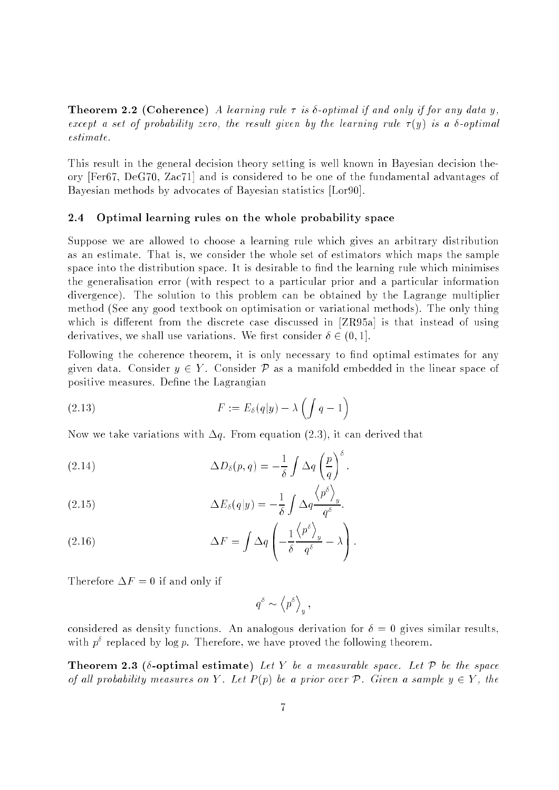**Theorem 2.2 (Coherence)** A learning rule  $\tau$  is  $\delta$ -optimal if and only if for any data y, except a set of probability zero, the result given by the learning rule  $\tau(y)$  is a  $\delta$ -optimal estimate.

This result in the general decision theory setting is well known in Bayesian decision theory [Fer67, DeG70, Zac71] and is considered to be one of the fundamental advantages of Bayesian methods by advocates of Bayesian statistics [Lor90].

#### 2.4 Optimal learning rules on the whole probability space

Suppose we are allowed to choose a learning rule which gives an arbitrary distribution as an estimate. That is, we consider the whole set of estimators which maps the sample space into the distribution space. It is desirable to find the learning rule which minimises the generalisation error (with respect to a particular prior and a particular information divergence). The solution to this problem can be obtained by the Lagrange multiplier method (See any good textbook on optimisation or variational methods). The only thing which is different from the discrete case discussed in  $[ZR95a]$  is that instead of using derivatives, we shall use variations. We first consider  $\delta \in (0,1]$ .

Following the coherence theorem, it is only necessary to find optimal estimates for any given data. Consider  $y \in Y$ . Consider P as a manifold embedded in the linear space of positive measures. Define the Lagrangian

(2.13) 
$$
F := E_{\delta}(q|y) - \lambda \left( \int q - 1 \right)
$$

Now we take variations with  $\Delta q$ . From equation (2.3), it can derived that

(2.14) 
$$
\Delta D_{\delta}(p,q) = -\frac{1}{\delta} \int \Delta q \left(\frac{p}{q}\right)^{\delta}.
$$

(2.15) 
$$
\Delta E_{\delta}(q|y) = -\frac{1}{\delta} \int \Delta q \frac{\langle p^{\circ} \rangle_y}{q^{\delta}}.
$$

(2.16) 
$$
\Delta F = \int \Delta q \left( -\frac{1}{\delta} \frac{\left\langle p^{\delta} \right\rangle_{y}}{q^{\delta}} - \lambda \right).
$$

Therefore  $\Delta F = 0$  if and only if

$$
q^\delta \sim \left\langle p^\delta \right\rangle_y,
$$

considered as density functions. An analogous derivation for  $\delta = 0$  gives similar results. with  $p^*$  replaced by  $\log p$ . Therefore, we have proved the following theorem.

**Theorem 2.3** ( $\delta$ -optimal estimate) Let Y be a measurable space. Let P be the space of all probability measures on Y. Let  $P(p)$  be a prior over P. Given a sample  $y \in Y$ , the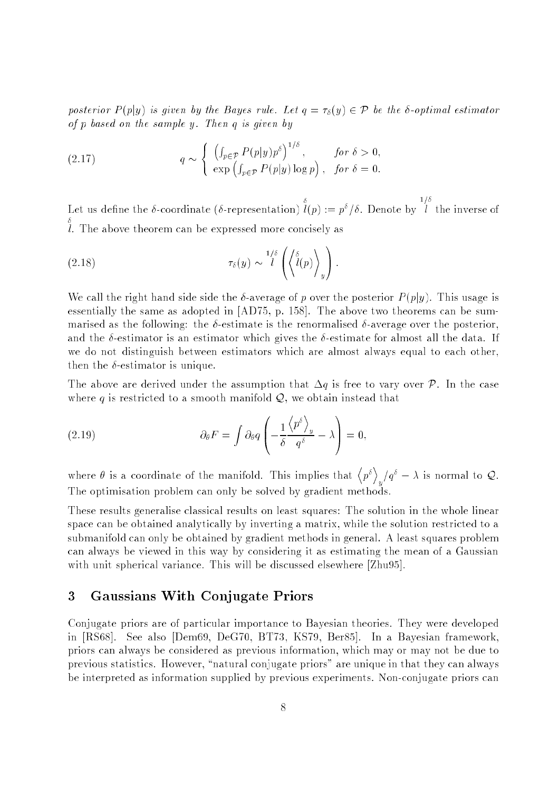posterior  $P(p|y)$  is given by the Bayes rule. Let  $q = \tau_{\delta}(y) \in \mathcal{P}$  be the  $\delta$ -optimal estimator of <sup>p</sup> based on the sample y. Then <sup>q</sup> is given by

(2.17) 
$$
q \sim \begin{cases} \left( \int_{p \in \mathcal{P}} P(p|y) p^{\delta} \right)^{1/\delta}, & \text{for } \delta > 0, \\ \exp \left( \int_{p \in \mathcal{P}} P(p|y) \log p \right), & \text{for } \delta = 0. \end{cases}
$$

Let us dene the -coordinate (-representation)  $l(p) := p^{\delta}/\delta$ . Denote by  $-1$ l. The above theorem can be expressed more concisely as

(2.18) 
$$
\tau_{\delta}(y) \sim \frac{1/\delta}{l} \left( \left\langle \frac{\delta}{l}(p) \right\rangle_y \right).
$$

We call the right hand side side the  $\delta$ -average of p over the posterior  $P(p|y)$ . This usage is essentially the same as adopted in [AD75, p. 158]. The above two theorems can be summarised as the following: the  $\delta$ -estimate is the renormalised  $\delta$ -average over the posterior, and the  $\delta$ -estimator is an estimator which gives the  $\delta$ -estimate for almost all the data. If we do not distinguish between estimators which are almost always equal to each other, then the  $\delta$ -estimator is unique.

The above are derived under the assumption that  $\Delta q$  is free to vary over P. In the case where  $q$  is restricted to a smooth manifold  $Q$ , we obtain instead that

(2.19) 
$$
\partial_{\theta} F = \int \partial_{\theta} q \left( -\frac{1}{\delta} \frac{\left\langle p^{\delta} \right\rangle_{y}}{q^{\delta}} - \lambda \right) = 0,
$$

where  $\theta$  is a coordinate of the manifold. This implies that  $\langle p^{\delta} \rangle$  $\mathcal{U}_y$  =  $\lambda$  is normal to  $\mathcal{Q}$ . The optimisation problem can only be solved by gradient methods.

These results generalise classical results on least squares: The solution in the whole linear space can be obtained analytically by inverting a matrix, while the solution restricted to a submanifold can only be obtained by gradient methods in general. A least squares problem can always be viewed in this way by considering it as estimating the mean of a Gaussian with unit spherical variance. This will be discussed elsewhere [Zhu95].

### 3 Gaussians With Conjugate Priors

Conjugate priors are of particular importance to Bayesian theories. They were developed in [RS68]. See also [Dem69, DeG70, BT73, KS79, Ber85]. In a Bayesian framework, priors can always be considered as previous information, which may or may not be due to previous statistics. However, "natural conjugate priors" are unique in that they can always be interpreted as information supplied by previous experiments. Non-conjugate priors can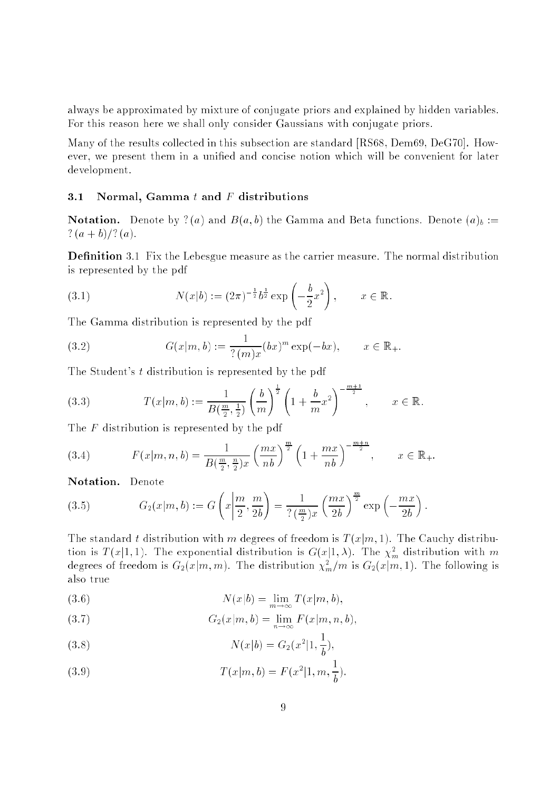always be approximated by mixture of conjugate priors and explained by hidden variables. For this reason here we shall only consider Gaussians with conjugate priors.

Many of the results collected in this subsection are standard [RS68, Dem69, DeG70]. However, we present them in a unied and concise notion which will be convenient for later development.

#### 3.1 Normal, Gamma  $t$  and  $F$  distributions

**Notation.** Denote by ? (a) and  $B(a, b)$  the Gamma and Beta functions. Denote  $(a)_b :=$  $? (a + b)/? (a).$ 

**Definition** 3.1 Fix the Lebesgue measure as the carrier measure. The normal distribution is represented by the pdf

(3.1) 
$$
N(x|b) := (2\pi)^{-\frac{1}{2}} b^{\frac{1}{2}} \exp\left(-\frac{b}{2}x^2\right), \qquad x \in \mathbb{R}.
$$

The Gamma distribution is represented by the pdf

(3.2) 
$$
G(x|m, b) := \frac{1}{? (m)x} (bx)^m \exp(-bx), \qquad x \in \mathbb{R}_+.
$$

The Student's <sup>t</sup> distribution is represented by the pdf

(3.3) 
$$
T(x|m, b) := \frac{1}{B(\frac{m}{2}, \frac{1}{2})} \left(\frac{b}{m}\right)^{\frac{1}{2}} \left(1 + \frac{b}{m}x^2\right)^{-\frac{m+1}{2}}, \quad x \in \mathbb{R}.
$$

The  $F$  distribution is represented by the pdf

(3.4) 
$$
F(x|m, n, b) = \frac{1}{B(\frac{m}{2}, \frac{n}{2})x} \left(\frac{mx}{nb}\right)^{\frac{m}{2}} \left(1 + \frac{mx}{nb}\right)^{-\frac{m+n}{2}}, \qquad x \in \mathbb{R}_{+}.
$$

Notation. Denote

(3.5) 
$$
G_2(x|m, b) := G\left(x\left|\frac{m}{2}, \frac{m}{2b}\right.\right) = \frac{1}{?(\frac{m}{2})x} \left(\frac{mx}{2b}\right)^{\frac{m}{2}} \exp\left(-\frac{mx}{2b}\right).
$$

The standard t distribution with m degrees of freedom is  $T(x|m, 1)$ . The Cauchy distribution is  $T(x|1,1)$ . The exponential distribution is  $G(x|1,\lambda)$ . The  $\chi_m^-$  distribution with m degrees of freedom is  $G_2(x|m,m)$ . The distribution  $\chi_m^m/m$  is  $G_2(x|m,1)$ . The following is also true

(3.6) 
$$
N(x|b) = \lim_{m \to \infty} T(x|m, b),
$$

$$
(3.7) \tG2(x|m, b) = \lim_{n \to \infty} F(x|m, n, b),
$$

(3.8) 
$$
N(x|b) = G_2(x^2|1, \frac{1}{b}),
$$

(3.9) 
$$
T(x|m, b) = F(x^2|1, m, \frac{1}{b}).
$$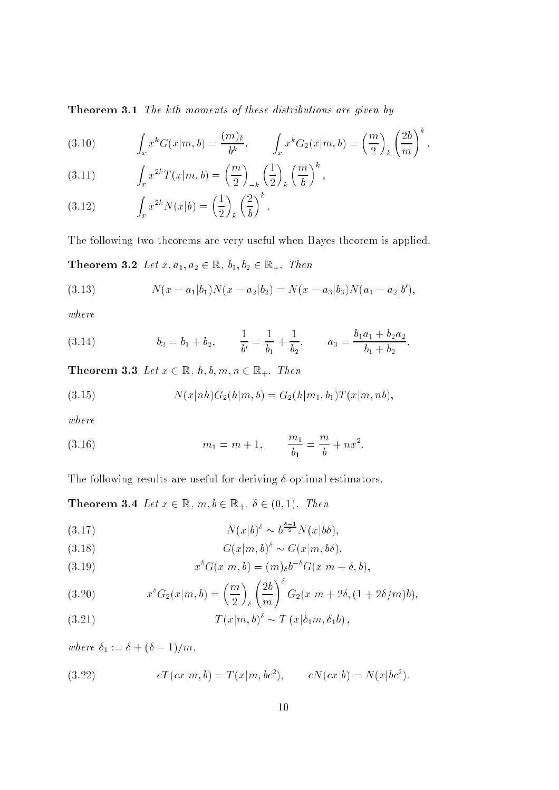Theorem 3.1 The kth moments of these distributions are given by

(3.10) 
$$
\int_{x} x^{k} G(x|m, b) = \frac{(m)_{k}}{b^{k}}, \qquad \int_{x} x^{k} G_{2}(x|m, b) = \left(\frac{m}{2}\right)_{k} \left(\frac{2b}{m}\right)^{k},
$$

(3.11) 
$$
\int_x x^{2k} T(x|m, b) = \left(\frac{m}{2}\right)_{-k} \left(\frac{1}{2}\right)_k \left(\frac{m}{b}\right)^k,
$$

(3.12) 
$$
\int_x x^{2k} N(x|b) = \left(\frac{1}{2}\right)_k \left(\frac{2}{b}\right)^k.
$$

The following two theorems are very useful when Bayes theorem is applied.

**Theorem 3.2** Let  $x, a_1, a_2 \in \mathbb{R}$ ,  $b_1, b_2 \in \mathbb{R}_+$ . Then

(3.13) 
$$
N(x-a_1|b_1)N(x-a_2|b_2) = N(x-a_3|b_3)N(a_1-a_2|b'),
$$

where

(3.14) 
$$
b_3 = b_1 + b_2, \qquad \frac{1}{b'} = \frac{1}{b_1} + \frac{1}{b_2}, \qquad a_3 = \frac{b_1 a_1 + b_2 a_2}{b_1 + b_2}.
$$

**Theorem 3.3** Let  $x \in \mathbb{R}$ ,  $h, b, m, n \in \mathbb{R}_+$ . Then

(3.15) 
$$
N(x|nh)G_2(h|m, b) = G_2(h|m_1, b_1)T(x|m, nb),
$$

$$
where
$$

(3.16) 
$$
m_1 = m + 1
$$
,  $\frac{m_1}{b_1} = \frac{m}{b} + nx^2$ .

The following results are useful for deriving  $\delta$ -optimal estimators.

**Theorem 3.4** Let  $x \in \mathbb{R}$ ,  $m, b \in \mathbb{R}_+$ ,  $\delta \in (0, 1)$ . Then

$$
(3.17) \t\t N(x|b)^\delta \sim b^{\frac{\delta-1}{2}} N(x|b\delta),
$$

(3.18) 
$$
G(x|m, b)^{\delta} \sim G(x|m, b\delta),
$$

(3.19) 
$$
x^{\delta}G(x|m, b) = (m)_{\delta}b^{-\delta}G(x|m + \delta, b),
$$

(3.20) 
$$
x^{\delta}G_2(x|m, b) = \left(\frac{m}{2}\right)_{\delta} \left(\frac{2b}{m}\right)^{\delta} G_2(x|m + 2\delta, (1 + 2\delta/m)b),
$$

(3.21) 
$$
T(x|m, b)^{\delta} \sim T(x|\delta_1 m, \delta_1 b),
$$

where  $\delta_1 := \delta + (\delta-1)/m$ ,

(3.22) 
$$
cT(cx|m, b) = T(x|m, bc^2), \qquad cN(cx|b) = N(x|bc^2).
$$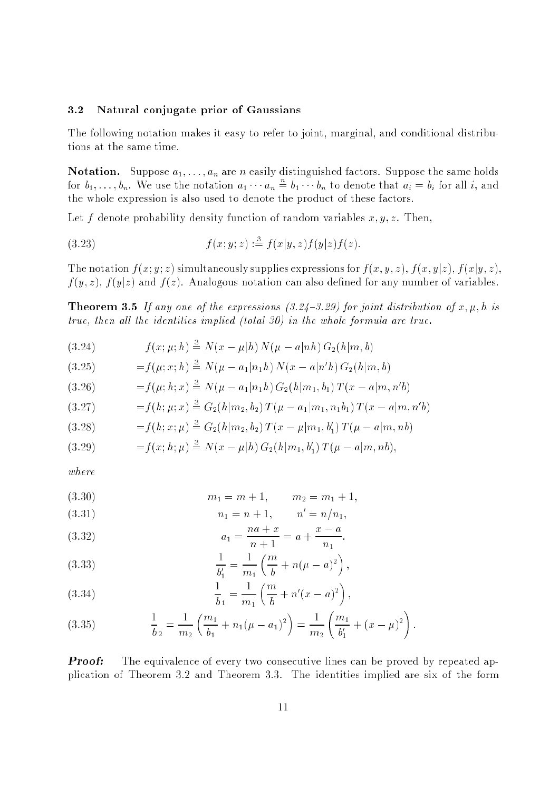#### 3.2 Natural conjugate prior of Gaussians

The following notation makes it easy to refer to joint, marginal, and conditional distributions at the same time.

**Notation.** Suppose  $a_1, \ldots, a_n$  are n easily distinguished factors. Suppose the same holds for  $b_1, \ldots, b_n$ . We use the notation  $a_1 \cdots a_n \doteq b_1 \cdots b_n$  to denote that  $a_i = b_i$  for all i, and the whole expression is also used to denote the product of these factors.

Let f denote probability density function of random variables  $x, y, z$ . Then,

(3.23) 
$$
f(x; y; z) := f(x|y, z)f(y|z)f(z).
$$

The notation  $f(x; y; z)$  simultaneously supplies expressions for  $f(x, y, z)$ ,  $f(x, y|z)$ ,  $f(x|y, z)$ ,  $f(y, z)$ ,  $f(y|z)$  and  $f(z)$ . Analogous notation can also defined for any number of variables.

**Theorem 3.5** If any one of the expressions  $(3.24-3.29)$  for joint distribution of x,  $\mu$ , h is true, then all the identities implied (total 30) in the whole formula are true.

(3.24) 
$$
f(x; \mu; h) \stackrel{3}{=} N(x - \mu | h) N(\mu - a | nh) G_2(h|m, b)
$$

(3.25) 
$$
= f(\mu; x; h) \stackrel{3}{=} N(\mu - a_1 | n_1 h) N(x - a | n'h) G_2(h | m, b)
$$

$$
(3.26) \t= f(\mu; h; x) \stackrel{3}{=} N(\mu - a_1 | n_1 h) G_2(h | m_1, b_1) T(x - a | m, n'b)
$$

$$
(3.27) \t= f(h; \mu; x) \stackrel{3}{=} G_2(h|m_2, b_2) T(\mu - a_1|m_1, n_1b_1) T(x - a|m, n'b)
$$

$$
(3.28) \t= f(h; x; \mu) \stackrel{3}{=} G_2(h|m_2, b_2) T(x - \mu|m_1, b'_1) T(\mu - a|m, nb)
$$

$$
(3.29) \t= f(x; h; \mu) \stackrel{3}{=} N(x - \mu | h) G_2(h | m_1, b'_1) T(\mu - a | m, nb),
$$

where

(3.30) 
$$
m_1 = m + 1, \qquad m_2 = m_1 + 1,
$$

(3.31) 
$$
n_1 = n + 1, \qquad n' = n/n_1,
$$

(3.32) 
$$
a_1 = \frac{na + x}{n + 1} = a + \frac{x - a}{n_1}.
$$

(3.33) 
$$
\frac{1}{b'_1} = \frac{1}{m_1} \left( \frac{m}{b} + n(\mu - a)^2 \right),
$$

(3.34) 
$$
\frac{1}{b_1} = \frac{1}{m_1} \left( \frac{m}{b} + n'(x - a)^2 \right),
$$

(3.35) 
$$
\frac{1}{b_2} = \frac{1}{m_2} \left( \frac{m_1}{b_1} + n_1(\mu - a_1)^2 \right) = \frac{1}{m_2} \left( \frac{m_1}{b'_1} + (x - \mu)^2 \right).
$$

**Proof:** The equivalence of every two consecutive lines can be proved by repeated application of Theorem 3.2 and Theorem 3.3. The identities implied are six of the form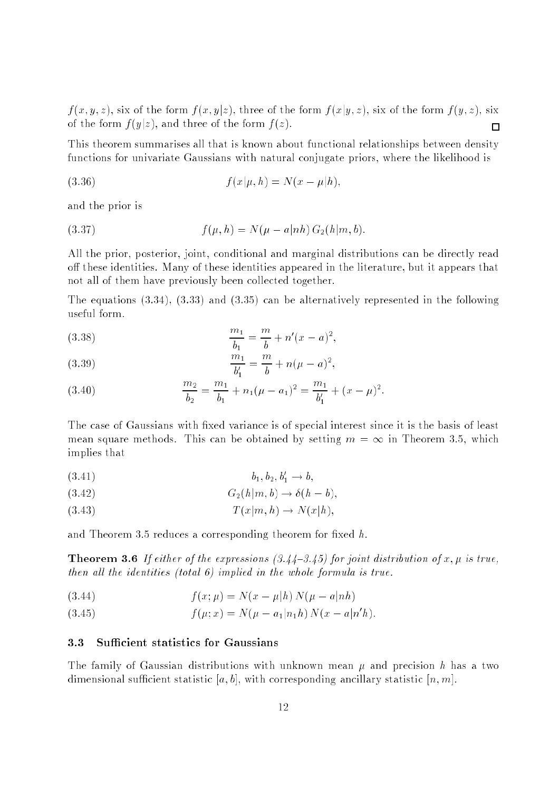$f(x, y, z)$ , six of the form  $f(x, y|z)$ , three of the form  $f(x|y, z)$ , six of the form  $f(y, z)$ , six of the form  $f(y|z)$ , and three of the form  $f(z)$ .  $\Box$ 

This theorem summarises all that is known about functional relationships between density functions for univariate Gaussians with natural conjugate priors, where the likelihood is

(3.36) 
$$
f(x|\mu, h) = N(x - \mu|h),
$$

and the prior is

(3.37) 
$$
f(\mu, h) = N(\mu - a|nh) G_2(h|m, b).
$$

All the prior, posterior, joint, conditional and marginal distributions can be directly read off these identities. Many of these identities appeared in the literature, but it appears that not all of them have previously been collected together.

The equations (3.34), (3.33) and (3.35) can be alternatively represented in the following useful form.

(3.38) 
$$
\frac{m_1}{b_1} = \frac{m}{b} + n'(x-a)^2,
$$

(3.39) 
$$
\frac{m_1}{b'_1} = \frac{m}{b} + n(\mu - a)^2,
$$

(3.40) 
$$
\frac{m_2}{b_2} = \frac{m_1}{b_1} + n_1(\mu - a_1)^2 = \frac{m_1}{b'_1} + (x - \mu)^2.
$$

b1 <sup>b</sup>

The case of Gaussians with fixed variance is of special interest since it is the basis of least mean square methods. This can be obtained by setting  $m = \infty$  in Theorem 3.5, which implies that

$$
(3.41) \t\t b_1, b_2, b'_1 \to b,
$$

$$
(3.42) \tG2(h|m, b) \to \delta(h - b),
$$

$$
(3.43) \t\t T(x|m, h) \to N(x|h),
$$

and Theorem 3.5 reduces a corresponding theorem for fixed  $h$ .

**Theorem 3.6** If either of the expressions  $(3.44-3.45)$  for joint distribution of x,  $\mu$  is true, then all the identities (total 6) implied in the whole formula is true.

(3.44) 
$$
f(x; \mu) = N(x - \mu|h) N(\mu - a|nh)
$$

(3.45) 
$$
f(\mu; x) = N(\mu - a_1 | n_1 h) N(x - a | n'h).
$$

#### **Sufficient statistics for Gaussians**  $3.3$

The family of Gaussian distributions with unknown mean  $\mu$  and precision h has a two dimensional sufficient statistic [a, b], with corresponding ancillary statistic [n, m].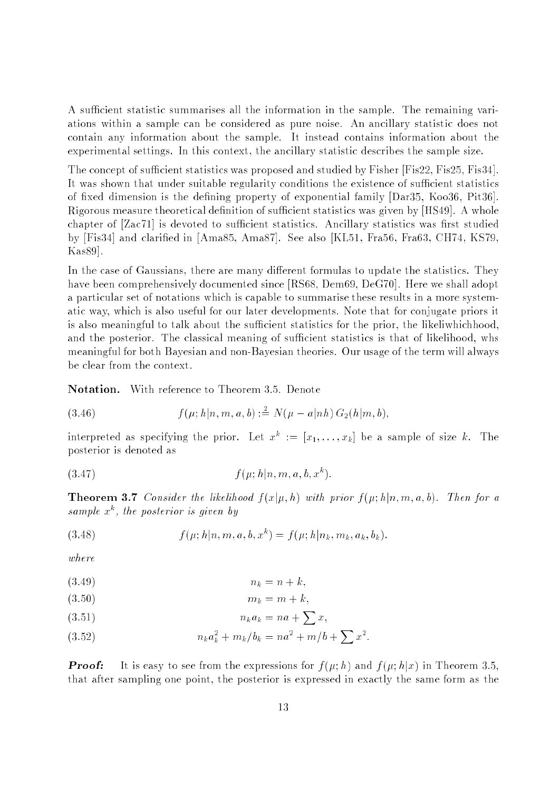A sufficient statistic summarises all the information in the sample. The remaining variations within a sample can be considered as pure noise. An ancillary statistic does not contain any information about the sample. It instead contains information about the experimental settings. In this context, the ancillary statistic describes the sample size.

The concept of sufficient statistics was proposed and studied by Fisher [Fis22, Fis25, Fis34]. It was shown that under suitable regularity conditions the existence of sufficient statistics of fixed dimension is the defining property of exponential family [Dar35, Koo36, Pit36]. Rigorous measure theoretical definition of sufficient statistics was given by [HS49]. A whole chapter of  $[Zac71]$  is devoted to sufficient statistics. Ancillary statistics was first studied by [Fis34] and claried in [Ama85, Ama87]. See also [KL51, Fra56, Fra63, CH74, KS79, Kas89].

In the case of Gaussians, there are many different formulas to update the statistics. They have been comprehensively documented since [RS68, Dem69, DeG70]. Here we shall adopt a particular set of notations which is capable to summarise these results in a more systematic way, which is also useful for our later developments. Note that for conjugate priors it is also meaningful to talk about the sufficient statistics for the prior, the likeliwhichhood, and the posterior. The classical meaning of sufficient statistics is that of likelihood, whs meaningful for both Bayesian and non-Bayesian theories. Our usage of the term will always be clear from the context.

Notation. With reference to Theorem 3.5. Denote

(3.46) 
$$
f(\mu; h|n, m, a, b) := N(\mu - a|nh) G_2(h|m, b),
$$

interpreted as specifying the prior. Let  $x^* := [x_1, \ldots, x_k]$  be a sample of size k. The posterior is denoted as

(3.47) 
$$
f(\mu; h|n, m, a, b, x^k).
$$

**Theorem 3.7** Consider the likelihood  $f(x|\mu, h)$  with prior  $f(\mu; h|n, m, a, b)$ . Then for a sample x , the posterior is given by

(3.48) 
$$
f(\mu; h|n, m, a, b, x^k) = f(\mu; h|n_k, m_k, a_k, b_k).
$$

 $where$ 

$$
(3.49) \t\t n_k = n + k,
$$

$$
(3.50) \t\t m_k = m + k,
$$

$$
(3.51) \t\t n_k a_k = na + \sum x,
$$

(3.52) 
$$
n_k a_k^2 + m_k/b_k = na^2 + m/b + \sum x^2.
$$

**Proof:** It is easy to see from the expressions for  $f(\mu; h)$  and  $f(\mu; h|x)$  in Theorem 3.5. that after sampling one point, the posterior is expressed in exactly the same form as the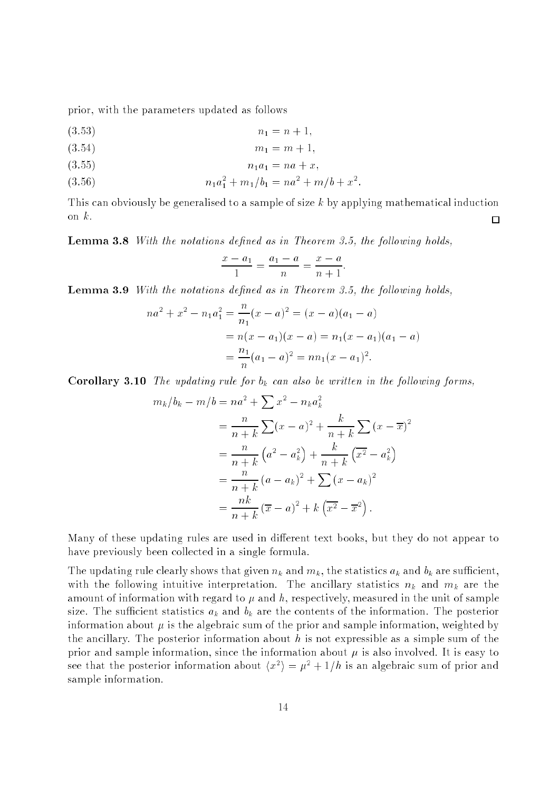prior, with the parameters updated as follows

$$
(3.53) \t\t n_1 = n + 1,
$$

$$
(3.54) \t m_1 = m + 1,
$$

$$
(3.55) \t\t n_1 a_1 = na + x,
$$

$$
(3.56) \t\t n1a12 + m1/b1 = na2 + m/b + x2.
$$

This can obviously be generalised to a sample of size <sup>k</sup> by applying mathematical induction on  $k$ .  $\Box$ 

**Lemma 3.8** With the notations defined as in Theorem 3.5, the following holds,

$$
\frac{x - a_1}{1} = \frac{a_1 - a}{n} = \frac{x - a}{n + 1}.
$$

**Lemma 3.9** With the notations defined as in Theorem 3.5, the following holds,

$$
na^{2} + x^{2} - n_{1}a_{1}^{2} = \frac{n}{n_{1}}(x - a)^{2} = (x - a)(a_{1} - a)
$$
  
=  $n(x - a_{1})(x - a) = n_{1}(x - a_{1})(a_{1} - a)$   
=  $\frac{n_{1}}{n}(a_{1} - a)^{2} = nn_{1}(x - a_{1})^{2}$ .

**Corollary 3.10** The updating rule for  $b_k$  can also be written in the following forms,

$$
m_k/b_k - m/b = na^2 + \sum x^2 - n_k a_k^2
$$
  
=  $\frac{n}{n+k} \sum (x - a)^2 + \frac{k}{n+k} \sum (x - \overline{x})^2$   
=  $\frac{n}{n+k} (a^2 - a_k^2) + \frac{k}{n+k} (\overline{x^2} - a_k^2)$   
=  $\frac{n}{n+k} (a - a_k)^2 + \sum (x - a_k)^2$   
=  $\frac{nk}{n+k} (\overline{x} - a)^2 + k (\overline{x^2} - \overline{x}^2)$ .

Many of these updating rules are used in different text books, but they do not appear to have previously been collected in a single formula.

The updating rule clearly shows that given  $n_k$  and  $m_k$ , the statistics  $a_k$  and  $b_k$  are sufficient, with the following intuitive interpretation. The ancillary statistics  $n_k$  and  $m_k$  are the amount of information with regard to  $\mu$  and  $h$ , respectively, measured in the unit of sample size. The sufficient statistics  $a_k$  and  $b_k$  are the contents of the information. The posterior information about  $\mu$  is the algebraic sum of the prior and sample information, weighted by the ancillary. The posterior information about  $h$  is not expressible as a simple sum of the prior and sample information, since the information about  $\mu$  is also involved. It is easy to see that the posterior information about  $\langle x^2 \rangle = \mu^2 + 1/n$  is an algebraic sum of prior and sample information.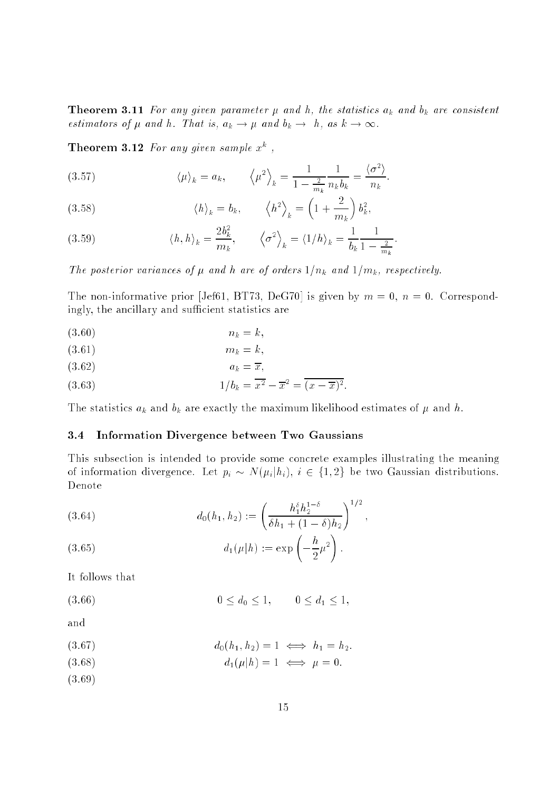**Theorem 3.11** For any given parameter  $\mu$  and  $h$ , the statistics  $a_k$  and  $b_k$  are consistent estimators of  $\mu$  and  $h$ . That is,  $a_k \to \mu$  and  $b_k \to h$ , as  $k \to \infty$ .

**Theorem 3.12** For any given sample  $x^2$ ,

(3.57) 
$$
\langle \mu \rangle_k = a_k, \qquad \langle \mu^2 \rangle_k = \frac{1}{1 - \frac{2}{m_k}} \frac{1}{n_k b_k} = \frac{\langle \sigma^2 \rangle}{n_k}.
$$

(3.58) 
$$
\langle h \rangle_k = b_k, \qquad \langle h^2 \rangle_k = \left(1 + \frac{2}{m_k}\right) b_k^2,
$$

(3.59) 
$$
\langle h, h \rangle_k = \frac{2b_k^2}{m_k}, \qquad \langle \sigma^2 \rangle_k = \langle 1/h \rangle_k = \frac{1}{b_k} \frac{1}{1 - \frac{2}{m_k}}.
$$

The posterior variances of  $\mu$  and h are of orders  $1/n_k$  and  $1/m_k$ , respectively.

The non-informative prior [Jef61, BT73, DeG70] is given by  $m = 0$ ,  $n = 0$ . Correspondingly, the ancillary and sufficient statistics are

(3.60)  $n_k = k$ ;

$$
(3.61) \t\t m_k = k,
$$

 $(a_k = \overline{x})$ 

(3.63) 
$$
1/b_k = \overline{x^2} - \overline{x}^2 = \overline{(x - \overline{x})^2}.
$$

The statistics  $a_k$  and  $b_k$  are exactly the maximum likelihood estimates of  $\mu$  and  $h$ .

#### 3.4 Information Divergence between Two Gaussians

This subsection is intended to provide some concrete examples illustrating the meaning of information divergence. Let  $p_i \sim N(\mu_i | h_i)$ ,  $i \in \{1, 2\}$  be two Gaussian distributions. Denote

(3.64) 
$$
d_0(h_1, h_2) := \left(\frac{h_1^{\delta} h_2^{1-\delta}}{\delta h_1 + (1-\delta)h_2}\right)^{1/2},
$$

(3.65) 
$$
d_1(\mu|h) := \exp\left(-\frac{h}{2}\mu^2\right).
$$

It follows that

$$
(3.66) \t\t 0 \le d_0 \le 1, \t 0 \le d_1 \le 1,
$$

and

$$
(3.67) \t\t d_0(h_1, h_2) = 1 \iff h_1 = h_2.
$$

- (3.68)  $d_1(\mu|h) = 1 \iff \mu = 0.$
- (3.69)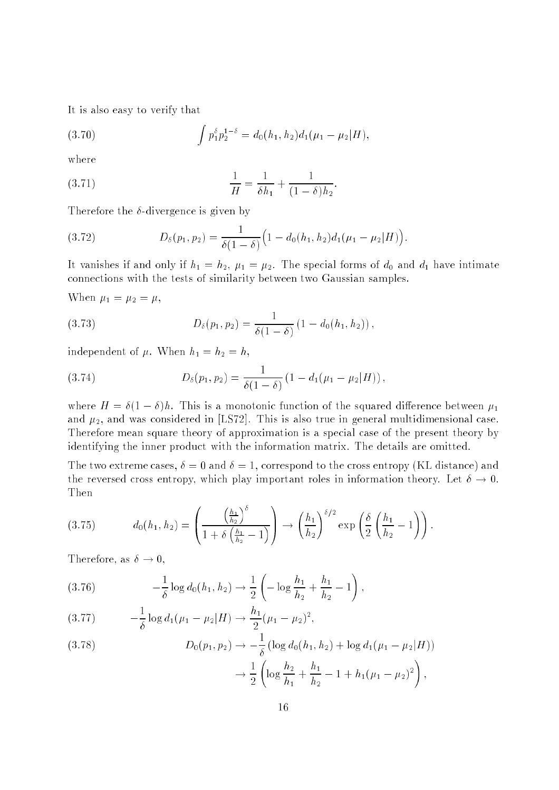It is also easy to verify that

(3.70) 
$$
\int p_1^{\delta} p_2^{1-\delta} = d_0(h_1, h_2) d_1(\mu_1 - \mu_2|H),
$$

where

(3.71) 
$$
\frac{1}{H} = \frac{1}{\delta h_1} + \frac{1}{(1 - \delta)h_2}.
$$

Therefore the  $\delta$ -divergence is given by

(3.72) 
$$
D_{\delta}(p_1, p_2) = \frac{1}{\delta(1-\delta)} \Big(1 - d_0(h_1, h_2) d_1(\mu_1 - \mu_2|H)\Big).
$$

It vanishes if and only if  $h_1 = h_2$ ,  $\mu_1 = \mu_2$ . The special forms of  $d_0$  and  $d_1$  have intimate connections with the tests of similarity between two Gaussian samples.

When  $\mu_1 = \mu_2 = \mu$ ,

(3.73) 
$$
D_{\delta}(p_1, p_2) = \frac{1}{\delta(1-\delta)} (1 - d_0(h_1, h_2)),
$$

independent of  $\mu$ . When  $h_1 = h_2 = h$ ,

(3.74) 
$$
D_{\delta}(p_1, p_2) = \frac{1}{\delta(1-\delta)} (1 - d_1(\mu_1 - \mu_2|H)),
$$

where  $H = \delta(1 - \delta)h$ . This is a monotonic function of the squared difference between  $\mu_1$ and  $\mu_2$ , and was considered in [LS72]. This is also true in general multidimensional case. Therefore mean square theory of approximation is a special case of the present theory by identifying the inner product with the information matrix. The details are omitted.

The two extreme cases,  $\delta = 0$  and  $\delta = 1$ , correspond to the cross entropy (KL distance) and the reversed cross entropy, which play important roles in information theory. Let  $\delta \to 0$ . Then

$$
(3.75) \t d_0(h_1, h_2) = \left(\frac{\left(\frac{h_1}{h_2}\right)^{\delta}}{1 + \delta\left(\frac{h_1}{h_2} - 1\right)}\right) \to \left(\frac{h_1}{h_2}\right)^{\delta/2} \exp\left(\frac{\delta}{2}\left(\frac{h_1}{h_2} - 1\right)\right).
$$

Therefore, as  $\delta \to 0$ ,

(3.76) 
$$
-\frac{1}{\delta}\log d_0(h_1, h_2) \to \frac{1}{2}\left(-\log\frac{h_1}{h_2} + \frac{h_1}{h_2} - 1\right),
$$

$$
(3.77) \qquad -\frac{1}{\delta}\log d_1(\mu_1-\mu_2|H)\to \frac{h_1}{2}(\mu_1-\mu_2)^2,
$$

$$
(3.78) \tD_0(p_1, p_2) \to -\frac{1}{\delta} \left( \log d_0(h_1, h_2) + \log d_1(\mu_1 - \mu_2 | H) \right)
$$

$$
\to \frac{1}{2} \left( \log \frac{h_2}{h_1} + \frac{h_1}{h_2} - 1 + h_1(\mu_1 - \mu_2)^2 \right),
$$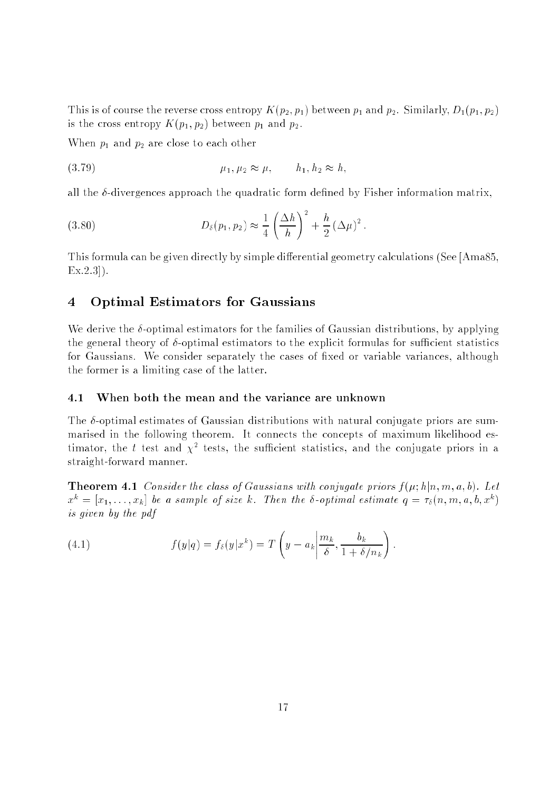This is of course the reverse cross entropy  $K(p_2, p_1)$  between  $p_1$  and  $p_2$ . Similarly,  $D_1(p_1, p_2)$ is the cross entropy  $K(p_1, p_2)$  between  $p_1$  and  $p_2$ .

When  $p_1$  and  $p_2$  are close to each other

(3.79) 
$$
\mu_1, \mu_2 \approx \mu, \qquad h_1, h_2 \approx h,
$$

all the  $\delta$ -divergences approach the quadratic form defined by Fisher information matrix.

(3.80) 
$$
D_{\delta}(p_1, p_2) \approx \frac{1}{4} \left( \frac{\Delta h}{h} \right)^2 + \frac{h}{2} (\Delta \mu)^2.
$$

This formula can be given directly by simple differential geometry calculations (See [Ama85, Ex.2.3]).

#### 4 Optimal Estimators for Gaussians

We derive the  $\delta$ -optimal estimators for the families of Gaussian distributions, by applying the general theory of  $\delta$ -optimal estimators to the explicit formulas for sufficient statistics for Gaussians. We consider separately the cases of fixed or variable variances, although the former is a limiting case of the latter.

#### $4.1$ When both the mean and the variance are unknown

The  $\delta$ -optimal estimates of Gaussian distributions with natural conjugate priors are summarised in the following theorem. It connects the concepts of maximum likelihood estimator, the  $t$  test and  $\chi^+$  tests, the sumclent statistics, and the conjugate priors in a straight-forward manner.

**Theorem 4.1** Consider the class of Gaussians with conjugate priors  $f(\mu; h|n, m, a, b)$ . Let  $x^{\mu\nu} = |x_1,\ldots,x_k|$  be a sample of size k. Then the o-optimal estimate  $q = \tau_\delta(n,m,a,o,x^{\mu})$ is given by the pdf

(4.1) 
$$
f(y|q) = f_{\delta}(y|x^k) = T\left(y - a_k \left|\frac{m_k}{\delta}, \frac{b_k}{1 + \delta/n_k}\right.\right).
$$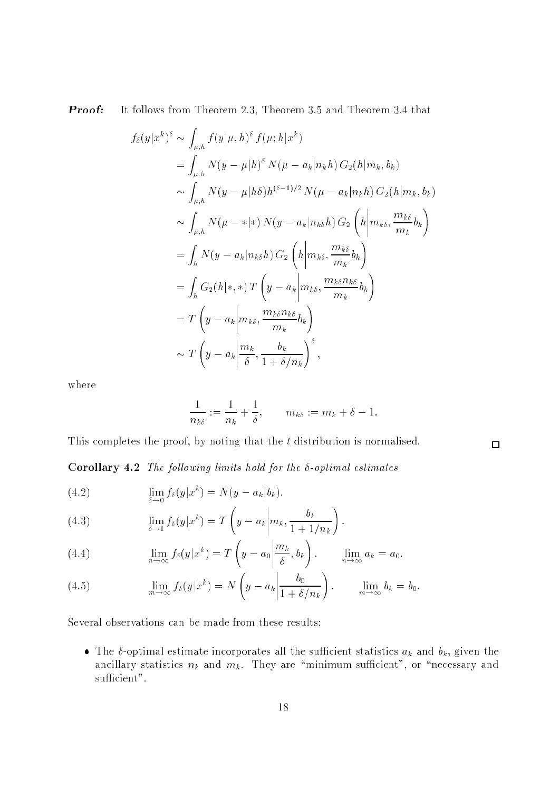**Proof:** It follows from Theorem 2.3, Theorem 3.5 and Theorem 3.4 that

$$
f_{\delta}(y|x^{k})^{\delta} \sim \int_{\mu,h} f(y|\mu,h)^{\delta} f(\mu;h|x^{k})
$$
  
= 
$$
\int_{\mu,h} N(y-\mu|h)^{\delta} N(\mu-a_{k}|n_{k}h) G_{2}(h|m_{k},b_{k})
$$
  

$$
\sim \int_{\mu,h} N(y-\mu|h\delta)h^{(\delta-1)/2} N(\mu-a_{k}|n_{k}h) G_{2}(h|m_{k},b_{k})
$$
  

$$
\sim \int_{\mu,h} N(\mu-\ast|\ast) N(y-a_{k}|n_{k\delta}h) G_{2} (h|m_{k\delta},\frac{m_{k\delta}}{m_{k}}b_{k})
$$
  
= 
$$
\int_{h} N(y-a_{k}|n_{k\delta}h) G_{2} (h|m_{k\delta},\frac{m_{k\delta}}{m_{k}}b_{k})
$$
  
= 
$$
\int_{h} G_{2}(h|\ast,\ast) T(y-a_{k}|m_{k\delta},\frac{m_{k\delta}n_{k\delta}}{m_{k}}b_{k})
$$
  
= 
$$
T(y-a_{k}|m_{k\delta},\frac{m_{k\delta}n_{k\delta}}{m_{k}}b_{k})
$$
  

$$
\sim T(y-a_{k}|\frac{m_{k}}{\delta},\frac{b_{k}}{1+\delta/n_{k}})^{\delta},
$$

where

$$
\frac{1}{n_{k\delta}}:=\frac{1}{n_k}+\frac{1}{\delta},\qquad m_{k\delta}:=m_k+\delta-1.
$$

 $\Box$ 

This completes the proof, by noting that the t distribution is normalised.

Corollary 4.2 The following limits hold for the  $\delta$ -optimal estimates

(4.2) 
$$
\lim_{\delta \to 0} f_{\delta}(y|x^k) = N(y - a_k|b_k).
$$

(4.3) 
$$
\lim_{\delta \to 1} f_{\delta}(y|x^k) = T\left(y - a_k \middle| m_k, \frac{b_k}{1 + 1/n_k}\right).
$$

(4.4) 
$$
\lim_{n \to \infty} f_{\delta}(y|x^k) = T\left(y - a_0 \middle| \frac{m_k}{\delta}, b_k\right). \qquad \lim_{n \to \infty} a_k = a_0.
$$

(4.5) 
$$
\lim_{m \to \infty} f_{\delta}(y|x^k) = N\left(y - a_k \middle| \frac{b_0}{1 + \delta/n_k}\right). \qquad \lim_{m \to \infty} b_k = b_0.
$$

Several observations can be made from these results:

 The -optimal estimate incorporates all the sucient statistics ak and bk, given the ancillary statistics  $n_k$  and  $m_k$ . They are "minimum sufficient", or "necessary and sufficient".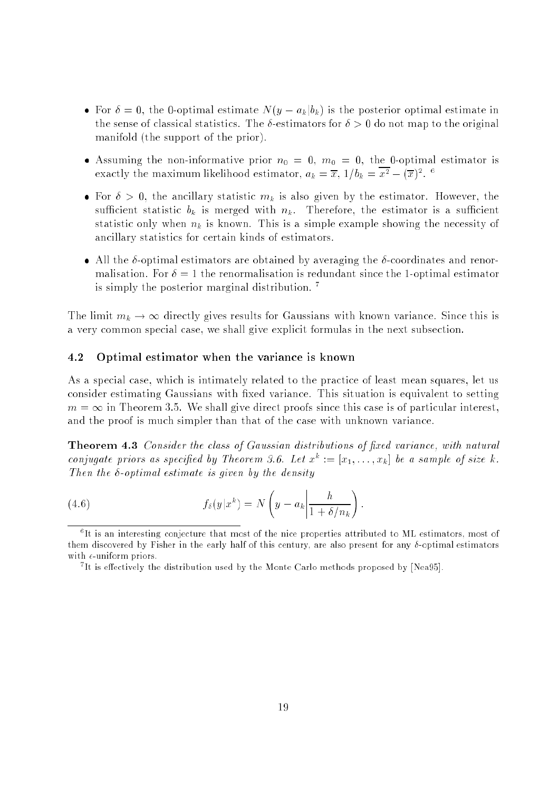- For a construction of  $\{y \in \mathbb{R}^n : y \in \mathbb{R}^n\}$  is the positive interesting in the positive interesting  $\{y \in \mathbb{R}^n\}$ the sense of classical statistics. The  $\delta$ -estimators for  $\delta > 0$  do not map to the original manifold (the support of the prior).
- Assuming the non-informative prior n0 <sup>=</sup> 0, m0 <sup>=</sup> 0, the 0-optimal estimator is exactly the maximum incennood estimator,  $a_k = x, \; 1/b_k = x^2 - (x)^2.$
- For <sup>&</sup>gt; 0, the ancillary statistic mk is also given by the estimator. However, the sufficient statistic  $b_k$  is merged with  $n_k$ . Therefore, the estimator is a sufficient statistic only when  $n_k$  is known. This is a simple example showing the necessity of ancillary statistics for certain kinds of estimators.
- All the -optimal estimators are obtained by averaging the -coordinates and renormalisation. For  $\delta = 1$  the renormalisation is redundant since the 1-optimal estimator is simply the posterior marginal distribution. <sup>7</sup>

The limit  $m_k \to \infty$  directly gives results for Gaussians with known variance. Since this is a very common special case, we shall give explicit formulas in the next subsection.

#### 4.2 Optimal estimator when the variance is known

As a special case, which is intimately related to the practice of least mean squares, let us consider estimating Gaussians with fixed variance. This situation is equivalent to setting  $m = \infty$  in Theorem 3.5. We shall give direct proofs since this case is of particular interest, and the proof is much simpler than that of the case with unknown variance.

**Theorem 4.3** Consider the class of Gaussian distributions of fixed variance, with natural conjugate priors as specified by Incorem 3.0. Let  $x^+ := [x_1, \ldots, x_k]$  be a sample of size  $\kappa$ . Then the  $\delta$ -optimal estimate is given by the density

(4.6) 
$$
f_{\delta}(y|x^k) = N\left(y - a_k \left|\frac{h}{1 + \delta/n_k}\right.\right).
$$

<sup>6</sup> It is an interesting conjecture that most of the nice properties attributed to ML estimators, most of them discovered by Fisher in the early half of this century, are also present for any  $\delta$ -optimal estimators with  $\epsilon$ -uniform priors.

<sup>7</sup> It is eectively the distribution used by the Monte Carlo methods proposed by [Nea95].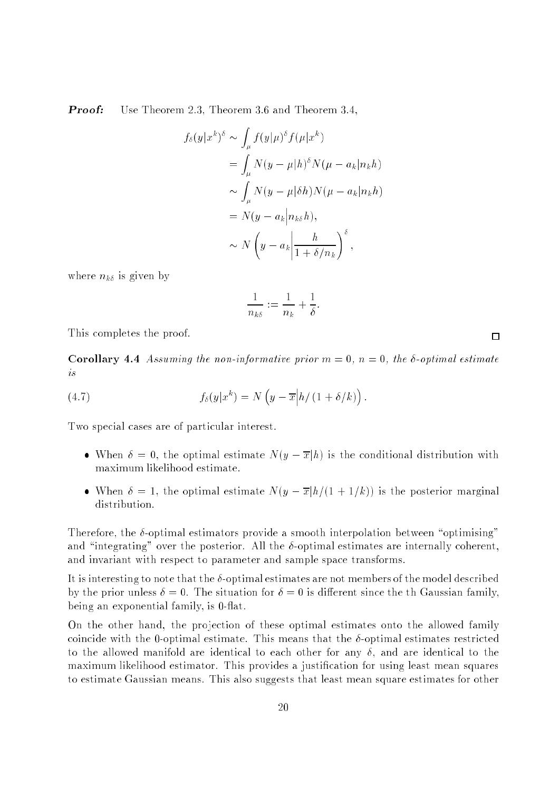**Proof:** Use Theorem 2.3, Theorem 3.6 and Theorem 3.4,

$$
f_{\delta}(y|x^{k})^{\delta} \sim \int_{\mu} f(y|\mu)^{\delta} f(\mu|x^{k})
$$
  
= 
$$
\int_{\mu} N(y - \mu|h)^{\delta} N(\mu - a_{k}|n_{k}h)
$$
  

$$
\sim \int_{\mu} N(y - \mu|\delta h) N(\mu - a_{k}|n_{k}h)
$$
  
= 
$$
N(y - a_{k}|n_{k\delta}h),
$$
  

$$
\sim N(y - a_{k}|\frac{h}{1 + \delta/n_{k}})^{\delta},
$$

where  $n_{k\delta}$  is given by

$$
\frac{1}{n_{k\delta}}:=\frac{1}{n_k}+\frac{1}{\delta}.
$$

This completes the proof.

**Corollary 4.4** Assuming the non-informative prior  $m = 0$ ,  $n = 0$ , the  $\delta$ -optimal estimate is

(4.7) 
$$
f_{\delta}(y|x^{k}) = N\left(y - \overline{x}\middle|h\middle| (1 + \delta/k)\right).
$$

Two special cases are of particular interest.

- when is a distribution optimal estimates is  $\{y\}$  is the conditional distribution with  $\alpha$ maximum likelihood estimate.
- When is the optimal estimate  $\mathcal{L}(\mathcal{Y})$  is the posterior matrix  $\mathcal{A}$  and  $\mathcal{A}$ distribution.

Therefore, the  $\delta$ -optimal estimators provide a smooth interpolation between "optimising" and "integrating" over the posterior. All the  $\delta$ -optimal estimates are internally coherent, and invariant with respect to parameter and sample space transforms.

It is interesting to note that the  $\delta$ -optimal estimates are not members of the model described by the prior unless  $\delta = 0$ . The situation for  $\delta = 0$  is different since the th Gaussian family, being an exponential family, is 0-flat.

On the other hand, the projection of these optimal estimates onto the allowed family coincide with the 0-optimal estimate. This means that the  $\delta$ -optimal estimates restricted to the allowed manifold are identical to each other for any  $\delta$ , and are identical to the maximum likelihood estimator. This provides a justication for using least mean squares to estimate Gaussian means. This also suggests that least mean square estimates for other

 $\Box$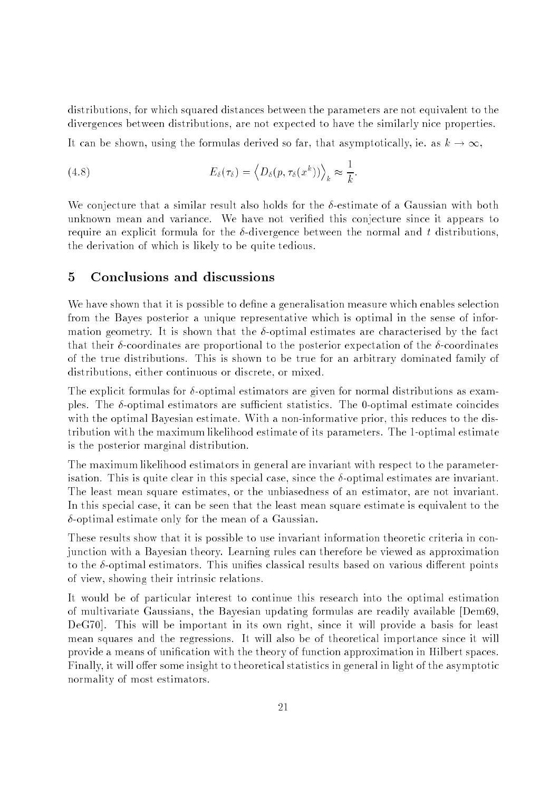distributions, for which squared distances between the parameters are not equivalent to the divergences between distributions, are not expected to have the similarly nice properties.

It can be shown, using the formulas derived so far, that asymptotically, ie. as  $k \to \infty$ ,

(4.8) 
$$
E_{\delta}(\tau_{\delta}) = \left\langle D_{\delta}(p, \tau_{\delta}(x^{k})) \right\rangle_{k} \approx \frac{1}{k}.
$$

We conjecture that a similar result also holds for the  $\delta$ -estimate of a Gaussian with both unknown mean and variance. We have not veried this conjecture since it appears to require an explicit formula for the  $\delta$ -divergence between the normal and t distributions. the derivation of which is likely to be quite tedious.

We have shown that it is possible to define a generalisation measure which enables selection from the Bayes posterior a unique representative which is optimal in the sense of information geometry. It is shown that the  $\delta$ -optimal estimates are characterised by the fact that their  $\delta$ -coordinates are proportional to the posterior expectation of the  $\delta$ -coordinates of the true distributions. This is shown to be true for an arbitrary dominated family of distributions, either continuous or discrete, or mixed.

The explicit formulas for  $\delta$ -optimal estimators are given for normal distributions as examples. The  $\delta$ -optimal estimators are sufficient statistics. The 0-optimal estimate coincides with the optimal Bayesian estimate. With a non-informative prior, this reduces to the distribution with the maximum likelihood estimate of its parameters. The 1-optimal estimate is the posterior marginal distribution.

The maximum likelihood estimators in general are invariant with respect to the parameterisation. This is quite clear in this special case, since the  $\delta$ -optimal estimates are invariant. The least mean square estimates, or the unbiasedness of an estimator, are not invariant. In this special case, it can be seen that the least mean square estimate is equivalent to the  $\delta$ -optimal estimate only for the mean of a Gaussian.

These results show that it is possible to use invariant information theoretic criteria in conjunction with a Bayesian theory. Learning rules can therefore be viewed as approximation to the  $\delta$ -optimal estimators. This unifies classical results based on various different points of view, showing their intrinsic relations.

It would be of particular interest to continue this research into the optimal estimation of multivariate Gaussians, the Bayesian updating formulas are readily available [Dem69, DeG70]. This will be important in its own right, since it will provide a basis for least mean squares and the regressions. It will also be of theoretical importance since it will provide a means of unication with the theory of function approximation in Hilbert spaces. Finally, it will offer some insight to theoretical statistics in general in light of the asymptotic normality of most estimators.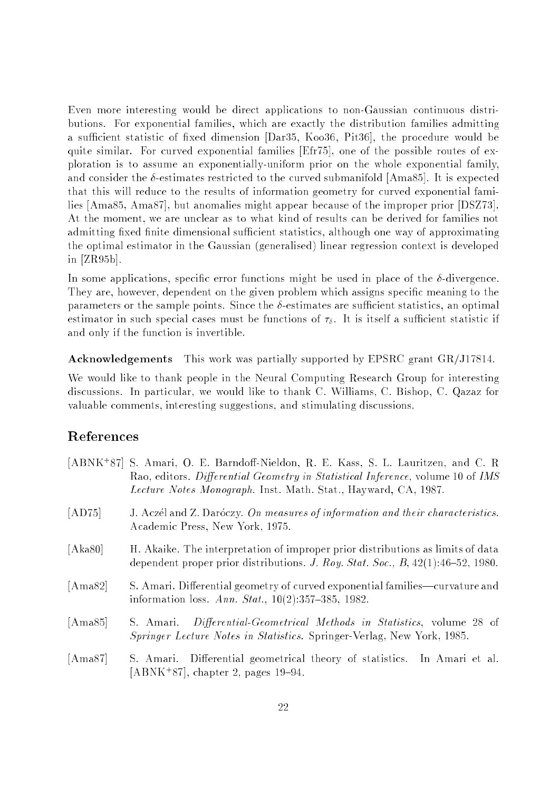Even more interesting would be direct applications to non-Gaussian continuous distributions. For exponential families, which are exactly the distribution families admitting a sufficient statistic of fixed dimension  $[Dar35, Koo36, Pit36]$ , the procedure would be quite similar. For curved exponential families [Efr75], one of the possible routes of exploration is to assume an exponentially-uniform prior on the whole exponential family, and consider the  $\delta$ -estimates restricted to the curved submanifold [Ama85]. It is expected that this will reduce to the results of information geometry for curved exponential families [Ama85, Ama87], but anomalies might appear because of the improper prior [DSZ73]. At the moment, we are unclear as to what kind of results can be derived for families not admitting fixed finite dimensional sufficient statistics, although one way of approximating the optimal estimator in the Gaussian (generalised) linear regression context is developed in [ZR95b].

In some applications, specific error functions might be used in place of the  $\delta$ -divergence. They are, however, dependent on the given problem which assigns specic meaning to the parameters or the sample points. Since the  $\delta$ -estimates are sufficient statistics, an optimal estimator in such special cases must be functions of  $\tau_{\delta}$ . It is itself a sufficient statistic if and only if the function is invertible.

Acknowledgements This work was partially supported by EPSRC grant GR/J17814.

We would like to thank people in the Neural Computing Research Group for interesting discussions. In particular, we would like to thank C. Williams, C. Bishop, C. Qazaz for valuable comments, interesting suggestions, and stimulating discussions.

### References

|         | [ABNK <sup>+</sup> 87] S. Amari, O. E. Barndoff-Nieldon, R. E. Kass, S. L. Lauritzen, and C. R<br>Rao, editors. Differential Geometry in Statistical Inference, volume 10 of IMS<br><i>Lecture Notes Monograph.</i> Inst. Math. Stat., Hayward, CA, 1987. |
|---------|-----------------------------------------------------------------------------------------------------------------------------------------------------------------------------------------------------------------------------------------------------------|
| [AD75]  | J. Aczél and Z. Daróczy. On measures of information and their characteristics.<br>Academic Press, New York, 1975.                                                                                                                                         |
| [Aka80] | H. Akaike. The interpretation of improper prior distributions as limits of data<br>dependent proper prior distributions. J. Roy. Stat. Soc., $B$ , 42(1):46-52, 1980.                                                                                     |
| [Ama82] | S. Amari. Differential geometry of curved exponential families—curvature and<br>information loss. Ann. Stat., $10(2):357-385$ , 1982.                                                                                                                     |
| [Ama85] | S. Amari. Differential-Geometrical Methods in Statistics, volume 28 of<br>Springer Lecture Notes in Statistics. Springer-Verlag, New York, 1985.                                                                                                          |
| [Ama87] | S. Amari. Differential geometrical theory of statistics. In Amari et al.<br>[ABNK <sup>+</sup> 87], chapter 2, pages $19-94$ .                                                                                                                            |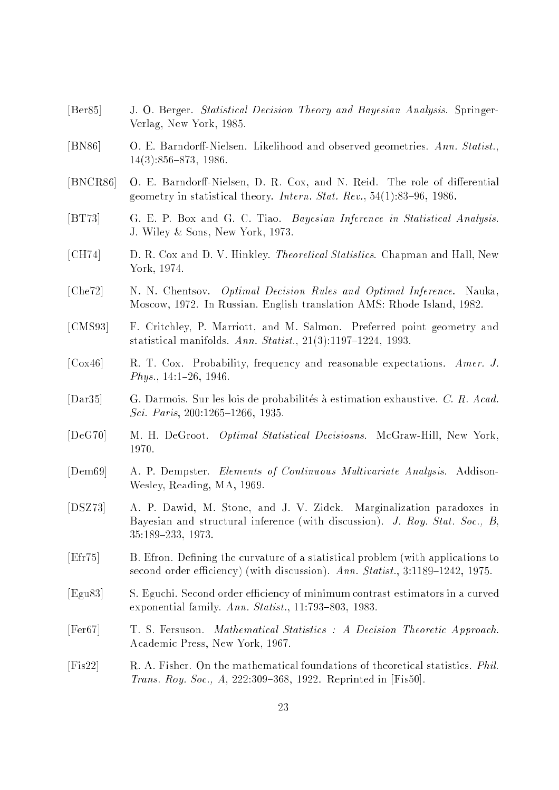- [Ber85] J. O. Berger. Statistical Decision Theory and Bayesian Analysis. Springer-Verlag, New York, 1985.
- [BN86] O. E. Barndorff-Nielsen. Likelihood and observed geometries. Ann. Statist.,  $14(3):856-873, 1986.$
- [BNCR86] O. E. Barndorff-Nielsen, D. R. Cox, and N. Reid. The role of differential geometry in statistical theory. Intern. Stat. Rev.,  $54(1):83-96$ , 1986.
- [BT73] G. E. P. Box and G. C. Tiao. Bayesian Inference in Statistical Analysis. J. Wiley & Sons, New York, 1973.
- [CH74] D. R. Cox and D. V. Hinkley. Theoretical Statistics. Chapman and Hall, New York, 1974.
- [Che72] N. N. Chentsov. Optimal Decision Rules and Optimal Inference. Nauka, Moscow, 1972. In Russian. English translation AMS: Rhode Island, 1982.
- [CMS93] F. Critchley, P. Marriott, and M. Salmon. Preferred point geometry and statistical manifolds. Ann. Statist.,  $21(3):1197-1224$ , 1993.
- [Cox46] R. T. Cox. Probability, frequency and reasonable expectations. Amer. J.  $Phys., 14:1–26, 1946.$
- [Dar35] G. Darmois. Sur les lois de probabilités à estimation exhaustive. C. R. Acad. Sci. Paris, 200:1265-1266, 1935.
- [DeG70] M. H. DeGroot. Optimal Statistical Decisiosns. McGraw-Hill, New York,
- [Dem69] A. P. Dempster. Elements of Continuous Multivariate Analysis. Addison-Wesley, Reading, MA, 1969.
- [DSZ73] A. P. Dawid, M. Stone, and J. V. Zidek. Marginalization paradoxes in Bayesian and structural inference (with discussion). J. Roy. Stat. Soc., B, 35:189{233, 1973.
- [Efr75] B. Efron. Dening the curvature of a statistical problem (with applications to second order efficiency) (with discussion). Ann. Statist.,  $3:1189-1242$ , 1975.
- [Egu83] S. Eguchi. Second order efficiency of minimum contrast estimators in a curved exponential family.  $Ann. Statist.$ , 11:793-803, 1983.
- [Fer67] T. S. Fersuson. Mathematical Statistics : A Decision Theoretic Approach. Academic Press, New York, 1967.
- [Fis22] R. A. Fisher. On the mathematical foundations of theoretical statistics. Phil. Trans. Roy. Soc., A, 222:309-368, 1922. Reprinted in [Fis50].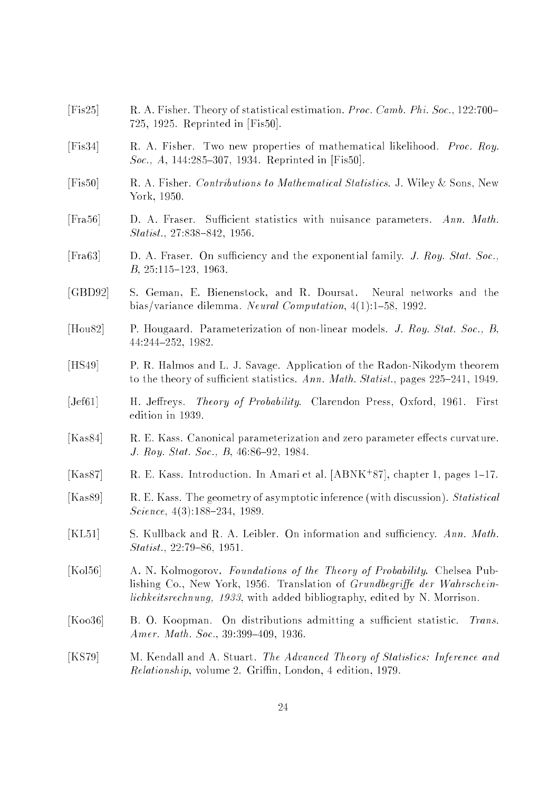- [Fis25] R. A. Fisher. Theory of statistical estimation. Proc. Camb. Phi. Soc., 122:700– 725, 1925. Reprinted in [Fis50].
- [Fis34] R. A. Fisher. Two new properties of mathematical likelihood. Proc. Roy. Soc., A, 144:285-307, 1934. Reprinted in [Fis50].
- [Fis50] R. A. Fisher. Contributions to Mathematical Statistics. J. Wiley & Sons, New York, 1950.
- [Fra56] D. A. Fraser. Sufficient statistics with nuisance parameters. Ann. Math. Statist., 27:838-842, 1956.
- [Fra63] D. A. Fraser. On sufficiency and the exponential family. *J. Roy. Stat. Soc.*, B, 25:115-123, 1963.
- [GBD92] S. Geman, E. Bienenstock, and R. Doursat. Neural networks and the bias/variance dilemma. Neural Computation, 4(1):1-58, 1992.
- [Hou82] P. Hougaard. Parameterization of non-linear models. J. Roy. Stat. Soc., B, 44:244-252, 1982.
- [HS49] P. R. Halmos and L. J. Savage. Application of the Radon-Nikodym theorem to the theory of sufficient statistics. Ann. Math. Statist., pages  $225{-}241$ , 1949.
- [Jef61] H. Jeffreys. Theory of Probability. Clarendon Press, Oxford, 1961. First edition in 1939.
- [Kas84] R. E. Kass. Canonical parameterization and zero parameter effects curvature. J. Roy. Stat. Soc., B, 46:86-92, 1984.
- $[\text{Naso}] \quad$  K. E. Nass. Introduction. In Amari et al.  $[\text{ABINK} \; \text{S}$  (), chapter 1, pages 1–17.
- [Kas89] R. E. Kass. The geometry of asymptotic inference (with discussion). Statistical Science,  $4(3)$ :188-234, 1989.
- [KL51] S. Kullback and R. A. Leibler. On information and sufficiency. Ann. Math.  $Statist., 22:79-86, 1951.$
- [Kol56] A. N. Kolmogorov. Foundations of the Theory of Probability. Chelsea Publishing Co., New York, 1956. Translation of  $Grundbegriff$ e der Wahrscheinlichkeitsrechnung, 1933, with added bibliography, edited by N. Morrison.
- [Koo36] B. O. Koopman. On distributions admitting a sufficient statistic. Trans. Amer. Math. Soc.,  $39:399-409$ , 1936.
- [KS79] M. Kendall and A. Stuart. The Advanced Theory of Statistics: Inference and  $Relationship, volume 2. Griffin, London, 4 edition, 1979.$